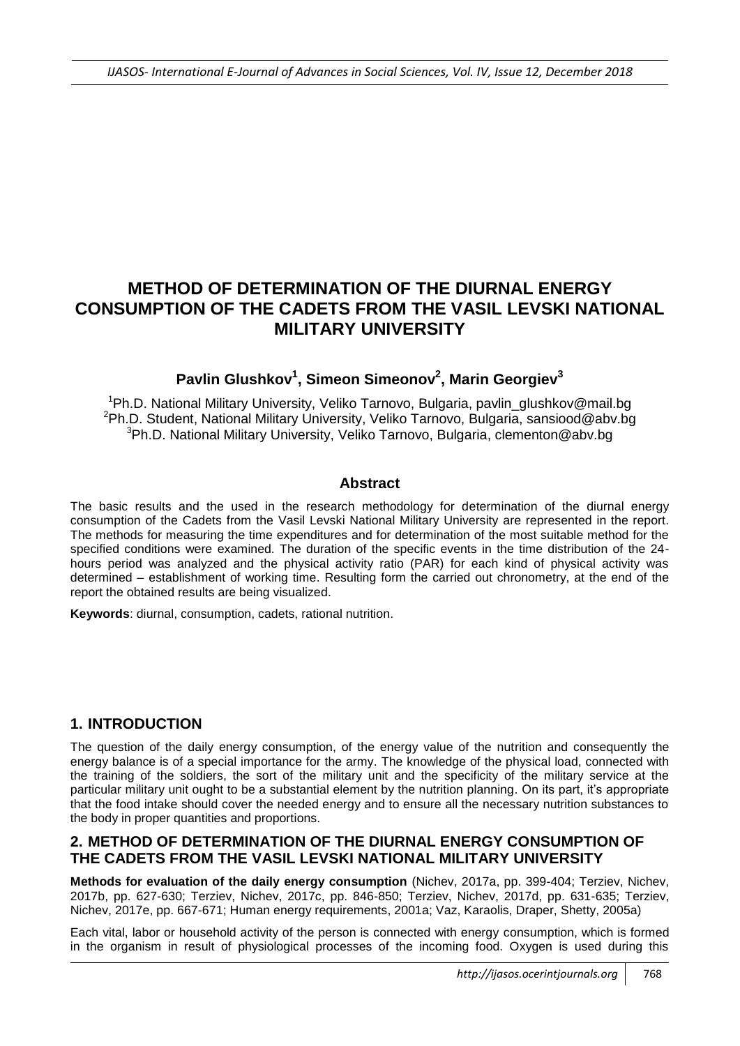# **METHOD OF DETERMINATION OF THE DIURNAL ENERGY CONSUMPTION OF THE CADETS FROM THE VASIL LEVSKI NATIONAL MILITARY UNIVERSITY**

# **Pavlin Glushkov<sup>1</sup> , Simeon Simeonov<sup>2</sup> , Marin Georgiev<sup>3</sup>**

<sup>1</sup>Ph.D. National Military University, Veliko Tarnovo, Bulgaria, pavlin\_glushkov@mail.bg  $2P$ h.D. Student, National Military University, Veliko Tarnovo, Bulgaria, sansiood@abv.bg <sup>3</sup>Ph.D. National Military University, Veliko Tarnovo, Bulgaria, clementon@abv.bg

## **Abstract**

The basic results and the used in the research methodology for determination of the diurnal energy consumption of the Cadets from the Vasil Levski National Military University are represented in the report. The methods for measuring the time expenditures and for determination of the most suitable method for the specified conditions were examined. The duration of the specific events in the time distribution of the 24 hours period was analyzed and the physical activity ratio (PAR) for each kind of physical activity was determined – establishment of working time. Resulting form the carried out chronometry, at the end of the report the obtained results are being visualized.

**Keywords**: diurnal, consumption, cadets, rational nutrition.

## **1. INTRODUCTION**

The question of the daily energy consumption, of the energy value of the nutrition and consequently the energy balance is of a special importance for the army. The knowledge of the physical load, connected with the training of the soldiers, the sort of the military unit and the specificity of the military service at the particular military unit ought to be a substantial element by the nutrition planning. On its part, it's appropriate that the food intake should cover the needed energy and to ensure all the necessary nutrition substances to the body in proper quantities and proportions.

## **2. METHOD OF DETERMINATION OF THE DIURNAL ENERGY CONSUMPTION OF THE CADETS FROM THE VASIL LEVSKI NATIONAL MILITARY UNIVERSITY**

**Methods for evaluation of the daily energy consumption** (Nichev, 2017a, pp. 399-404; Terziev, Nichev, 2017b, pp. 627-630; Terziev, Nichev, 2017c, pp. 846-850; Terziev, Nichev, 2017d, pp. 631-635; Terziev, Nichev, 2017e, pp. 667-671; Human energy requirements, 2001a; Vaz, Karaolis, Draper, Shetty, 2005a)

Each vital, labor or household activity of the person is connected with energy consumption, which is formed in the organism in result of physiological processes of the incoming food. Oxygen is used during this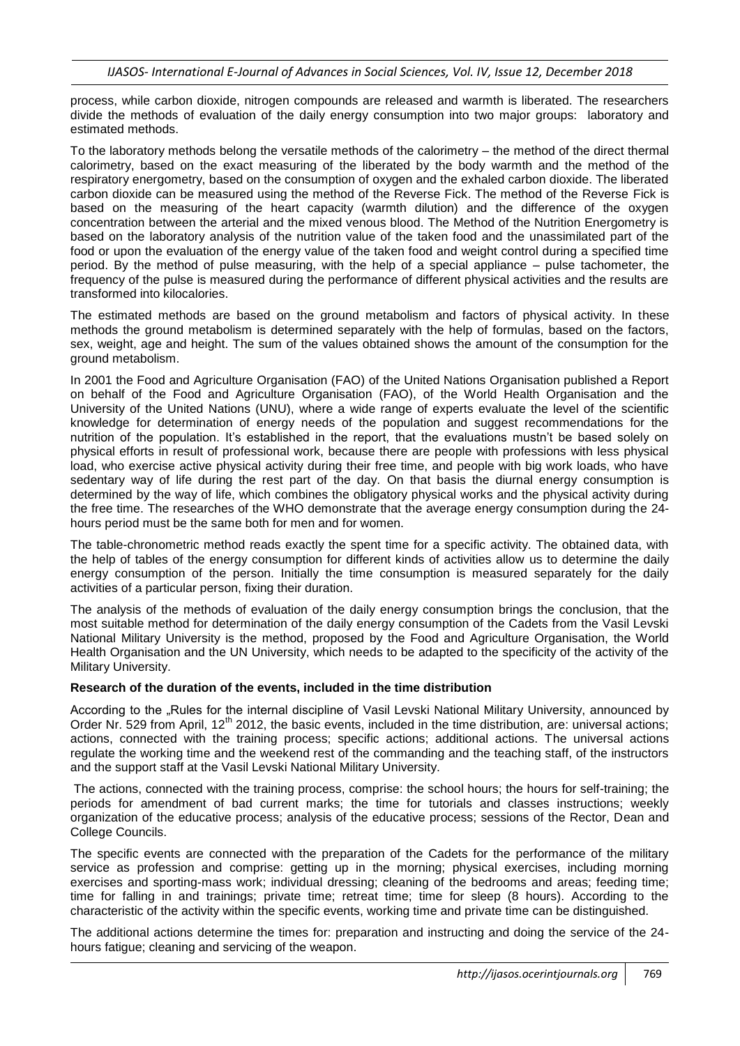process, while carbon dioxide, nitrogen compounds are released and warmth is liberated. The researchers divide the methods of evaluation of the daily energy consumption into two major groups: laboratory and estimated methods.

To the laboratory methods belong the versatile methods of the calorimetry – the method of the direct thermal calorimetry, based on the exact measuring of the liberated by the body warmth and the method of the respiratory energometry, based on the consumption of oxygen and the exhaled carbon dioxide. The liberated carbon dioxide can be measured using the method of the Reverse Fick. The method of the Reverse Fick is based on the measuring of the heart capacity (warmth dilution) and the difference of the oxygen concentration between the arterial and the mixed venous blood. The Method of the Nutrition Energometry is based on the laboratory analysis of the nutrition value of the taken food and the unassimilated part of the food or upon the evaluation of the energy value of the taken food and weight control during a specified time period. By the method of pulse measuring, with the help of a special appliance – pulse tachometer, the frequency of the pulse is measured during the performance of different physical activities and the results are transformed into kilocalories.

The estimated methods are based on the ground metabolism and factors of physical activity. In these methods the ground metabolism is determined separately with the help of formulas, based on the factors, sex, weight, age and height. The sum of the values obtained shows the amount of the consumption for the ground metabolism.

In 2001 the Food and Agriculture Organisation (FAO) of the United Nations Organisation published a Report on behalf of the Food and Agriculture Organisation (FAO), of the World Health Organisation and the University of the United Nations (UNU), where a wide range of experts evaluate the level of the scientific knowledge for determination of energy needs of the population and suggest recommendations for the nutrition of the population. It's established in the report, that the evaluations mustn't be based solely on physical efforts in result of professional work, because there are people with professions with less physical load, who exercise active physical activity during their free time, and people with big work loads, who have sedentary way of life during the rest part of the day. On that basis the diurnal energy consumption is determined by the way of life, which combines the obligatory physical works and the physical activity during the free time. The researches of the WHO demonstrate that the average energy consumption during the 24 hours period must be the same both for men and for women.

The table-chronometric method reads exactly the spent time for a specific activity. The obtained data, with the help of tables of the energy consumption for different kinds of activities allow us to determine the daily energy consumption of the person. Initially the time consumption is measured separately for the daily activities of a particular person, fixing their duration.

The analysis of the methods of evaluation of the daily energy consumption brings the conclusion, that the most suitable method for determination of the daily energy consumption of the Cadets from the Vasil Levski National Military University is the method, proposed by the Food and Agriculture Organisation, the World Health Organisation and the UN University, which needs to be adapted to the specificity of the activity of the Military University.

### **Research of the duration of the events, included in the time distribution**

According to the "Rules for the internal discipline of Vasil Levski National Military University, announced by Order Nr. 529 from April, 12<sup>th</sup> 2012, the basic events, included in the time distribution, are: universal actions; actions, connected with the training process; specific actions; additional actions. The universal actions regulate the working time and the weekend rest of the commanding and the teaching staff, of the instructors and the support staff at the Vasil Levski National Military University.

The actions, connected with the training process, comprise: the school hours; the hours for self-training; the periods for amendment of bad current marks; the time for tutorials and classes instructions; weekly organization of the educative process; analysis of the educative process; sessions of the Rector, Dean and College Councils.

The specific events are connected with the preparation of the Cadets for the performance of the military service as profession and comprise: getting up in the morning; physical exercises, including morning exercises and sporting-mass work; individual dressing; cleaning of the bedrooms and areas; feeding time; time for falling in and trainings; private time; retreat time; time for sleep (8 hours). According to the characteristic of the activity within the specific events, working time and private time can be distinguished.

The additional actions determine the times for: preparation and instructing and doing the service of the 24 hours fatigue; cleaning and servicing of the weapon.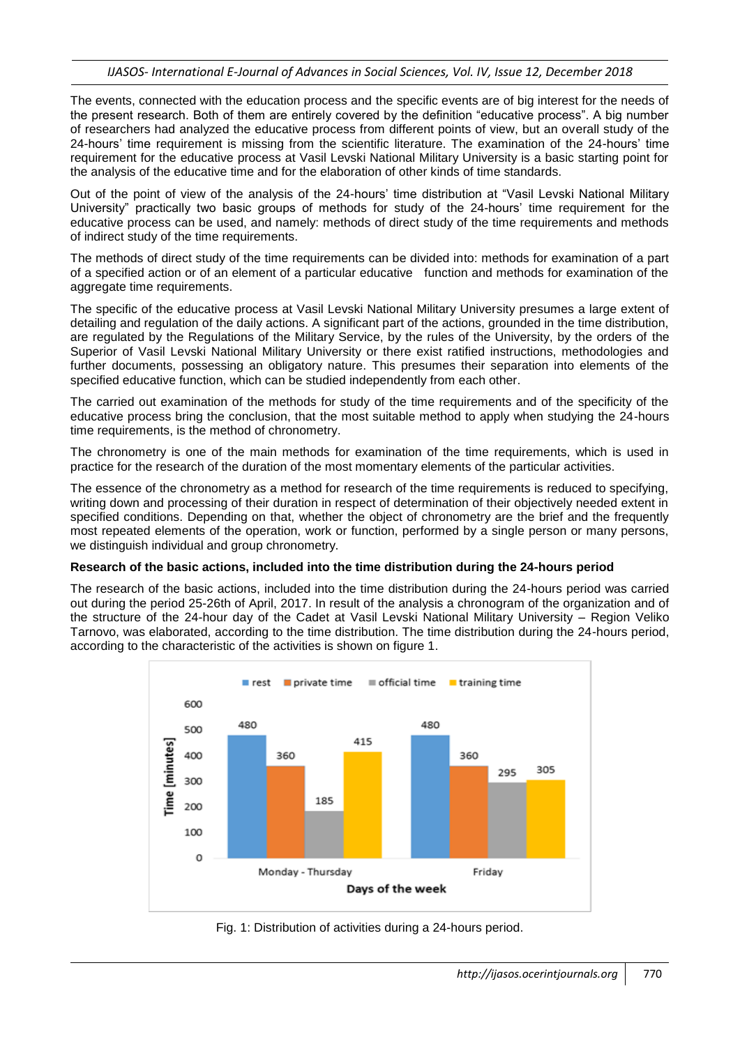The events, connected with the education process and the specific events are of big interest for the needs of the present research. Both of them are entirely covered by the definition "educative process". A big number of researchers had analyzed the educative process from different points of view, but an overall study of the 24-hours' time requirement is missing from the scientific literature. The examination of the 24-hours' time requirement for the educative process at Vasil Levski National Military University is a basic starting point for the analysis of the educative time and for the elaboration of other kinds of time standards.

Out of the point of view of the analysis of the 24-hours' time distribution at "Vasil Levski National Military University" practically two basic groups of methods for study of the 24-hours' time requirement for the educative process can be used, and namely: methods of direct study of the time requirements and methods of indirect study of the time requirements.

The methods of direct study of the time requirements can be divided into: methods for examination of a part of a specified action or of an element of a particular educative function and methods for examination of the aggregate time requirements.

The specific of the educative process at Vasil Levski National Military University presumes a large extent of detailing and regulation of the daily actions. A significant part of the actions, grounded in the time distribution, are regulated by the Regulations of the Military Service, by the rules of the University, by the orders of the Superior of Vasil Levski National Military University or there exist ratified instructions, methodologies and further documents, possessing an obligatory nature. This presumes their separation into elements of the specified educative function, which can be studied independently from each other.

The carried out examination of the methods for study of the time requirements and of the specificity of the educative process bring the conclusion, that the most suitable method to apply when studying the 24-hours time requirements, is the method of chronometry.

The chronometry is one of the main methods for examination of the time requirements, which is used in practice for the research of the duration of the most momentary elements of the particular activities.

The essence of the chronometry as a method for research of the time requirements is reduced to specifying, writing down and processing of their duration in respect of determination of their objectively needed extent in specified conditions. Depending on that, whether the object of chronometry are the brief and the frequently most repeated elements of the operation, work or function, performed by a single person or many persons, we distinguish individual and group chronometry.

### **Research of the basic actions, included into the time distribution during the 24-hours period**

The research of the basic actions, included into the time distribution during the 24-hours period was carried out during the period 25-26th of April, 2017. In result of the analysis a chronogram of the organization and of the structure of the 24-hour day of the Cadet at Vasil Levski National Military University – Region Veliko Tarnovo, was elaborated, according to the time distribution. The time distribution during the 24-hours period, according to the characteristic of the activities is shown on figure 1.



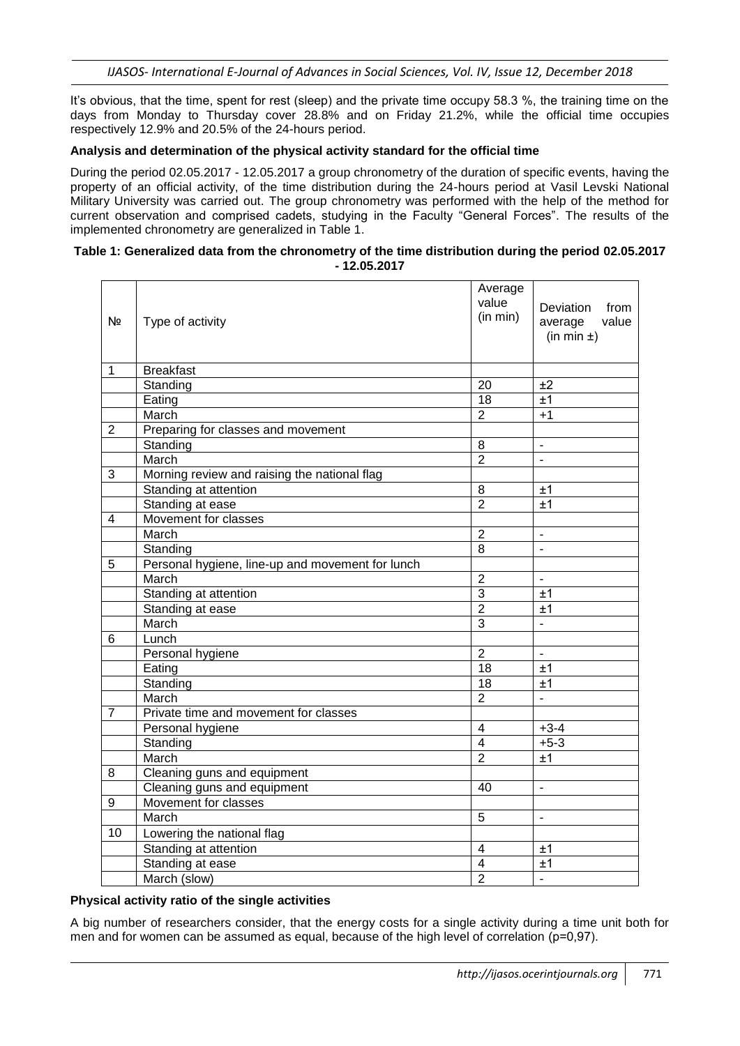It's obvious, that the time, spent for rest (sleep) and the private time occupy 58.3 %, the training time on the days from Monday to Thursday cover 28.8% and on Friday 21.2%, while the official time occupies respectively 12.9% and 20.5% of the 24-hours period.

### **Analysis and determination of the physical activity standard for the official time**

During the period 02.05.2017 - 12.05.2017 a group chronometry of the duration of specific events, having the property of an official activity, of the time distribution during the 24-hours period at Vasil Levski National Military University was carried out. The group chronometry was performed with the help of the method for current observation and comprised cadets, studying in the Faculty "General Forces". The results of the implemented chronometry are generalized in Table 1.

### **Table 1: Generalized data from the chronometry of the time distribution during the period 02.05.2017 - 12.05.2017**

| Nº             | Type of activity                                 | Average<br>value<br>(in min) | Deviation<br>from<br>value<br>average<br>$(in min \pm)$ |
|----------------|--------------------------------------------------|------------------------------|---------------------------------------------------------|
| $\mathbf{1}$   | <b>Breakfast</b>                                 |                              |                                                         |
|                | Standing                                         | 20                           | ±2                                                      |
|                | Eating                                           | 18                           | ±1                                                      |
|                | March                                            | $\overline{2}$               | $+1$                                                    |
| $\overline{2}$ | Preparing for classes and movement               |                              |                                                         |
|                | Standing                                         | 8                            | $\blacksquare$                                          |
|                | March                                            | $\overline{2}$               | $\blacksquare$                                          |
| 3              | Morning review and raising the national flag     |                              |                                                         |
|                | Standing at attention                            | 8                            | ±1                                                      |
|                | Standing at ease                                 | $\overline{2}$               | ±1                                                      |
| 4              | Movement for classes                             |                              |                                                         |
|                | March                                            | $\overline{2}$               | $\blacksquare$                                          |
|                | Standing                                         | 8                            | $\overline{\phantom{a}}$                                |
| 5              | Personal hygiene, line-up and movement for lunch |                              |                                                         |
|                | March                                            | $\overline{2}$               | ÷                                                       |
|                | Standing at attention                            | $\overline{3}$               | ±1                                                      |
|                | Standing at ease                                 | $\overline{2}$               | ±1                                                      |
|                | March                                            | 3                            | $\blacksquare$                                          |
| 6              | Lunch                                            |                              |                                                         |
|                | Personal hygiene                                 | $\overline{2}$               | $\mathbb{Z}^2$                                          |
|                | Eating                                           | 18                           | ±1                                                      |
|                | Standing                                         | 18                           | ±1                                                      |
|                | March                                            | $\overline{2}$               | ÷.                                                      |
| $\overline{7}$ | Private time and movement for classes            |                              |                                                         |
|                | Personal hygiene                                 | $\overline{4}$               | $+3-4$                                                  |
|                | Standing                                         | $\overline{4}$               | $+5-3$                                                  |
|                | March                                            | $\overline{2}$               | ±1                                                      |
| 8              | Cleaning guns and equipment                      |                              |                                                         |
|                | Cleaning guns and equipment                      | 40                           | $\blacksquare$                                          |
| 9              | Movement for classes                             |                              |                                                         |
|                | March                                            | 5                            | ÷,                                                      |
| 10             | Lowering the national flag                       |                              |                                                         |
|                | Standing at attention                            | 4                            | ±1                                                      |
|                | Standing at ease                                 | $\overline{4}$               | ±1                                                      |
|                | March (slow)                                     | $\overline{2}$               | ä,                                                      |

### **Physical activity ratio of the single activities**

A big number of researchers consider, that the energy costs for a single activity during a time unit both for men and for women can be assumed as equal, because of the high level of correlation (p=0,97).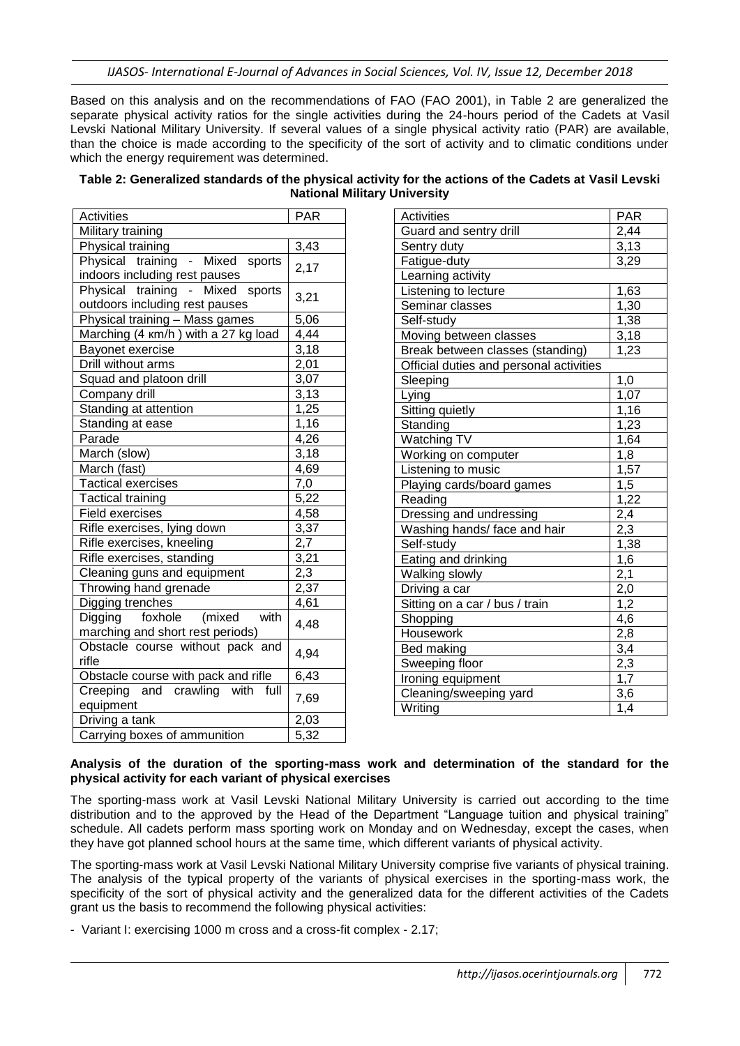*IJASOS- International E-Journal of Advances in Social Sciences, Vol. IV, Issue 12, December 2018*

Based on this analysis and on the recommendations of FAO (FAO 2001), in Table 2 are generalized the separate physical activity ratios for the single activities during the 24-hours period of the Cadets at Vasil Levski National Military University. If several values of a single physical activity ratio (PAR) are available, than the choice is made according to the specificity of the sort of activity and to climatic conditions under which the energy requirement was determined.

| <b>Activities</b>                                                  | <b>PAR</b>       |  |  |  |
|--------------------------------------------------------------------|------------------|--|--|--|
| Military training                                                  |                  |  |  |  |
| Physical training                                                  | 3,43             |  |  |  |
| Physical training - Mixed sports<br>indoors including rest pauses  | 2,17             |  |  |  |
| Physical training - Mixed sports<br>outdoors including rest pauses | 3,21             |  |  |  |
| Physical training - Mass games                                     | 5,06             |  |  |  |
| Marching (4 km/h) with a 27 kg load                                | 4,44             |  |  |  |
| Bayonet exercise                                                   | 3,18             |  |  |  |
| Drill without arms                                                 | 2,01             |  |  |  |
| Squad and platoon drill                                            | 3,07             |  |  |  |
| Company drill                                                      | 3,13             |  |  |  |
| Standing at attention                                              | 1,25             |  |  |  |
| Standing at ease                                                   | 1,16             |  |  |  |
| Parade                                                             | 4,26             |  |  |  |
| March (slow)                                                       | 3,18             |  |  |  |
| March (fast)                                                       | 4,69             |  |  |  |
| <b>Tactical exercises</b>                                          | 7,0              |  |  |  |
| <b>Tactical training</b>                                           | 5,22             |  |  |  |
| Field exercises                                                    | 4,58             |  |  |  |
| Rifle exercises, lying down                                        | 3,37             |  |  |  |
| Rifle exercises, kneeling                                          | $\overline{2,7}$ |  |  |  |
| Rifle exercises, standing                                          | 3,21             |  |  |  |
| Cleaning guns and equipment                                        | 2,3              |  |  |  |
| Throwing hand grenade                                              | 2,37             |  |  |  |
| Digging trenches                                                   | 4,61             |  |  |  |
| Digging foxhole (mixed with<br>marching and short rest periods)    | 4,48             |  |  |  |
| Obstacle course without pack and<br>rifle                          | 4,94             |  |  |  |
| Obstacle course with pack and rifle                                | 6,43             |  |  |  |
| Creeping and crawling with full<br>equipment                       | 7,69             |  |  |  |
| Driving a tank                                                     | 2,03             |  |  |  |
| Carrying boxes of ammunition                                       | 5,32             |  |  |  |

| Table 2: Generalized standards of the physical activity for the actions of the Cadets at Vasil Levski |
|-------------------------------------------------------------------------------------------------------|
| <b>National Military University</b>                                                                   |

| Activities                              | <b>PAR</b>        |
|-----------------------------------------|-------------------|
| Guard and sentry drill                  | 2,44              |
| Sentry duty                             | 3,13              |
| Fatigue-duty                            | 3,29              |
| Learning activity                       |                   |
| Listening to lecture                    | 1,63              |
| Seminar classes                         | 1,30              |
| Self-study                              | 1,38              |
| Moving between classes                  | 3,18              |
| Break between classes (standing)        | 1,23              |
| Official duties and personal activities |                   |
| Sleeping                                | 1,0               |
| Lying                                   | 1,07              |
| Sitting quietly                         | 1,16              |
| Standing                                | 1,23              |
| <b>Watching TV</b>                      | 1,64              |
| Working on computer                     | 1,8               |
| Listening to music                      | 1,57              |
| Playing cards/board games               | 1,5               |
| Reading                                 | 1,22              |
| Dressing and undressing                 | 2,4               |
| Washing hands/face and hair             | 2,3               |
| Self-study                              | 1,38              |
| Eating and drinking                     | 1,6               |
| Walking slowly                          | $\frac{2,1}{2,0}$ |
| Driving a car                           |                   |
| Sitting on a car / bus / train          | 1,2               |
| Shopping                                | 4,6               |
| Housework                               | 2,8               |
| Bed making                              | 3,4               |
| Sweeping floor                          | 2,3               |
| Ironing equipment                       | 1,7               |
| Cleaning/sweeping yard                  | 3,6               |
| Writing                                 | 1,4               |

### **Analysis of the duration of the sporting-mass work and determination of the standard for the physical activity for each variant of physical exercises**

The sporting-mass work at Vasil Levski National Military University is carried out according to the time distribution and to the approved by the Head of the Department "Language tuition and physical training" schedule. All cadets perform mass sporting work on Monday and on Wednesday, except the cases, when they have got planned school hours at the same time, which different variants of physical activity.

The sporting-mass work at Vasil Levski National Military University comprise five variants of physical training. The analysis of the typical property of the variants of physical exercises in the sporting-mass work, the specificity of the sort of physical activity and the generalized data for the different activities of the Cadets grant us the basis to recommend the following physical activities:

- Variant I: exercising 1000 m cross and a cross-fit complex - 2.17;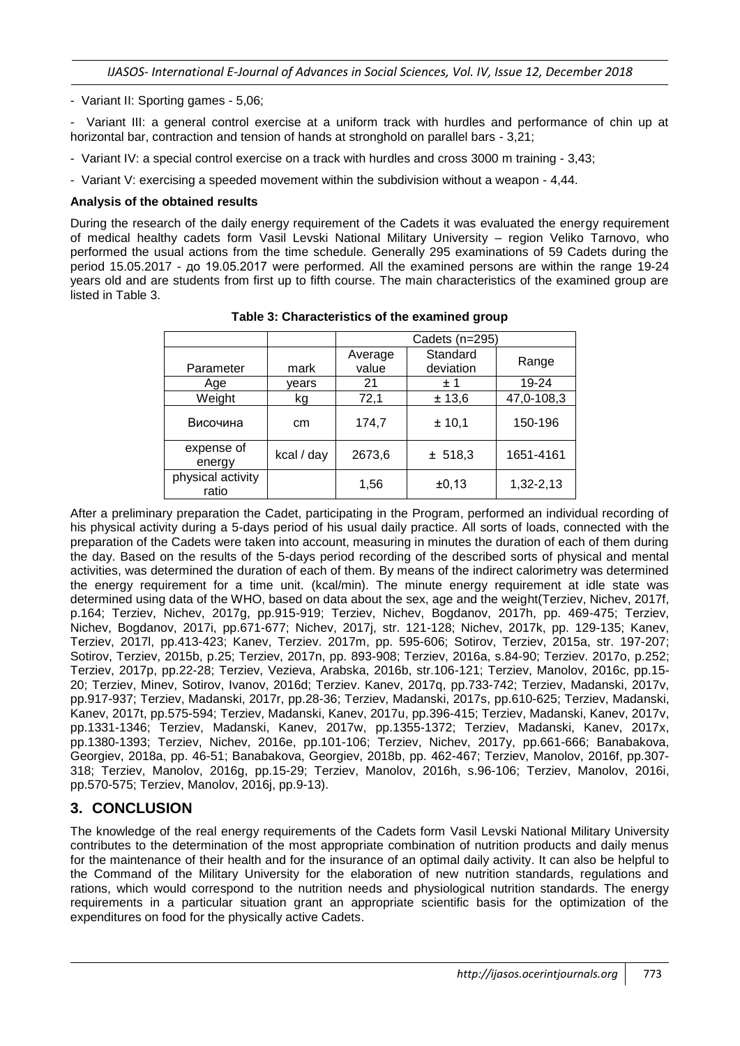- Variant II: Sporting games - 5,06;

- Variant III: a general control exercise at a uniform track with hurdles and performance of chin up at horizontal bar, contraction and tension of hands at stronghold on parallel bars - 3,21;

- Variant IV: a special control exercise on a track with hurdles and cross 3000 m training 3,43;
- Variant V: exercising a speeded movement within the subdivision without a weapon 4,44.

### **Analysis of the obtained results**

During the research of the daily energy requirement of the Cadets it was evaluated the energy requirement of medical healthy cadets form Vasil Levski National Military University – region Veliko Tarnovo, who performed the usual actions from the time schedule. Generally 295 examinations of 59 Cadets during the period 15.05.2017 - до 19.05.2017 were performed. All the examined persons are within the range 19-24 years old and are students from first up to fifth course. The main characteristics of the examined group are listed in Table 3.

|                            |            | Cadets (n=295)   |                       |            |
|----------------------------|------------|------------------|-----------------------|------------|
| Parameter                  | mark       | Average<br>value | Standard<br>deviation | Range      |
| Age                        | vears      | 21               | ± 1                   | 19-24      |
| Weight                     | kg         | 72,1             | ± 13,6                | 47,0-108,3 |
| Височина                   | cm         | 174,7            | ± 10,1                | 150-196    |
| expense of<br>energy       | kcal / day | 2673,6           | ± 518,3               | 1651-4161  |
| physical activity<br>ratio |            | 1,56             | ±0,13                 | 1,32-2,13  |

**Table 3: Characteristics of the examined group** 

After a preliminary preparation the Cadet, participating in the Program, performed an individual recording of his physical activity during a 5-days period of his usual daily practice. All sorts of loads, connected with the preparation of the Cadets were taken into account, measuring in minutes the duration of each of them during the day. Based on the results of the 5-days period recording of the described sorts of physical and mental activities, was determined the duration of each of them. By means of the indirect calorimetry was determined the energy requirement for a time unit. (kcal/min). The minute energy requirement at idle state was determined using data of the WHO, based on data about the sex, age and the weight(Terziev, Nichev, 2017f, p.164; Terziev, Nichev, 2017g, pp.915-919; Terziev, Nichev, Bogdanov, 2017h, pp. 469-475; Terziev, Nichev, Bogdanov, 2017i, pp.671-677; Nichev, 2017j, str. 121-128; Nichev, 2017k, pp. 129-135; Kanev, Terziev, 2017l, pp.413-423; Kanev, Terziev. 2017m, pp. 595-606; Sotirov, Terziev, 2015a, str. 197-207; Sotirov, Terziev, 2015b, p.25; Terziev, 2017n, pp. 893-908; Terziev, 2016a, s.84-90; Terziev. 2017o, p.252; Terziev, 2017p, pp.22-28; Terziev, Vezieva, Arabska, 2016b, str.106-121; Terziev, Manolov, 2016c, pp.15- 20; Terziev, Minev, Sotirov, Ivanov, 2016d; Terziev. Kanev, 2017q, pp.733-742; Terziev, Madanski, 2017v, pp.917-937; Terziev, Madanski, 2017r, pp.28-36; Terziev, Madanski, 2017s, pp.610-625; Terziev, Madanski, Kanev, 2017t, pp.575-594; Terziev, Madanski, Kanev, 2017u, pp.396-415; Terziev, Madanski, Kanev, 2017v, pp.1331-1346; Terziev, Madanski, Kanev, 2017w, pp.1355-1372; Terziev, Madanski, Kanev, 2017x, pp.1380-1393; Terziev, Nichev, 2016e, pp.101-106; Terziev, Nichev, 2017y, pp.661-666; Banabakova, Georgiev, 2018a, pp. 46-51; Banabakova, Georgiev, 2018b, pp. 462-467; Terziev, Manolov, 2016f, pp.307- 318; Terziev, Manolov, 2016g, pp.15-29; Terziev, Manolov, 2016h, s.96-106; Terziev, Manolov, 2016i, pp.570-575; Terziev, Manolov, 2016j, pp.9-13).

## **3. CONCLUSION**

The knowledge of the real energy requirements of the Cadets form Vasil Levski National Military University contributes to the determination of the most appropriate combination of nutrition products and daily menus for the maintenance of their health and for the insurance of an optimal daily activity. It can also be helpful to the Command of the Military University for the elaboration of new nutrition standards, regulations and rations, which would correspond to the nutrition needs and physiological nutrition standards. The energy requirements in a particular situation grant an appropriate scientific basis for the optimization of the expenditures on food for the physically active Cadets.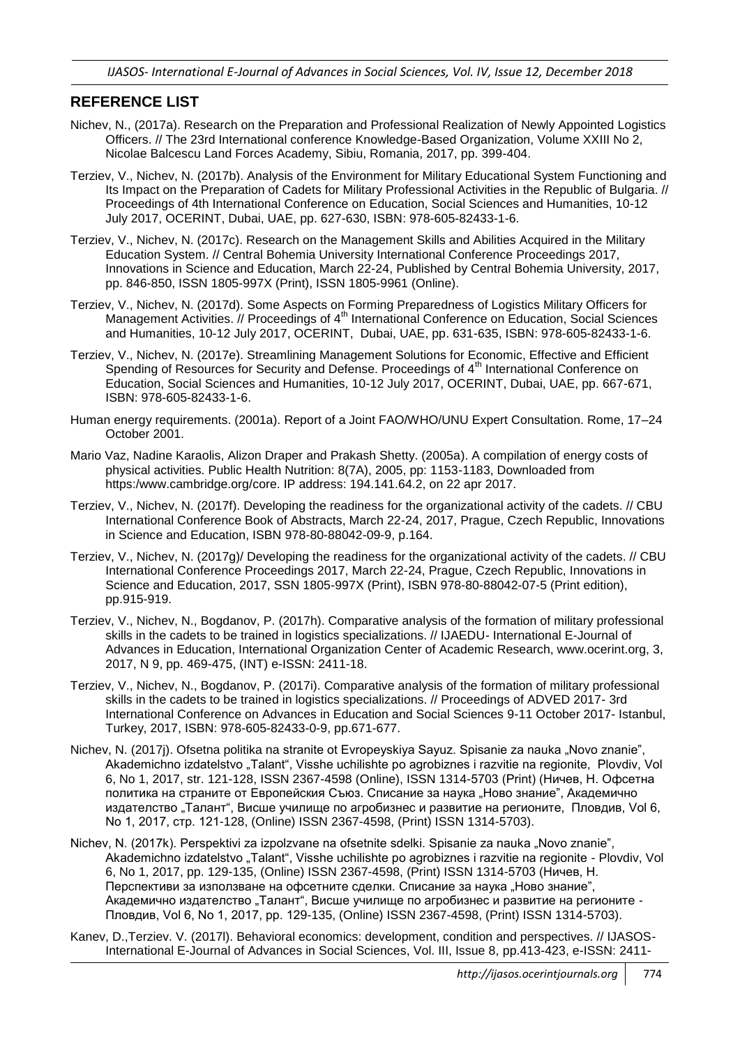## **REFERENCE LIST**

- Nichev, N., (2017a). Research on the Preparation and Professional Realization of Newly Appointed Logistics Officers. // The 23rd International conference Knowledge-Based Organization, Volume XXIII No 2, Nicolae Balcescu Land Forces Academy, Sibiu, Romania, 2017, pp. 399-404.
- Terziev, V., Nichev, N. (2017b). Analysis of the Environment for Military Educational System Functioning and Its Impact on the Preparation of Cadets for Military Professional Activities in the Republic of Bulgaria. // Proceedings of 4th International Conference on Education, Social Sciences and Humanities, 10-12 July 2017, OCERINT, Dubai, UAE, pp. 627-630, ISBN: 978-605-82433-1-6.
- Terziev, V., Nichev, N. (2017c). Research on the Management Skills and Abilities Acquired in the Military Education System. // Central Bohemia University International Conference Proceedings 2017, Innovations in Science and Education, March 22-24, Published by Central Bohemia University, 2017, pp. 846-850, ISSN 1805-997X (Print), ISSN 1805-9961 (Online).
- Terziev, V., Nichev, N. (2017d). Some Aspects on Forming Preparedness of Logistics Military Officers for Management Activities. // Proceedings of 4<sup>th</sup> International Conference on Education, Social Sciences and Humanities, 10-12 July 2017, OCERINT, Dubai, UAE, pp. 631-635, ISBN: 978-605-82433-1-6.
- Terziev, V., Nichev, N. (2017e). Streamlining Management Solutions for Economic, Effective and Efficient Spending of Resources for Security and Defense. Proceedings of 4<sup>th</sup> International Conference on Education, Social Sciences and Humanities, 10-12 July 2017, OCERINT, Dubai, UAE, pp. 667-671, ISBN: 978-605-82433-1-6.
- Human energy requirements. (2001a). Report of a Joint FAO/WHO/UNU Expert Consultation. Rome, 17–24 October 2001.
- Mario Vaz, Nadine Karaolis, Alizon Draper and Prakash Shetty. (2005a). A compilation of energy costs of physical activities. Public Health Nutrition: 8(7A), 2005, pp: 1153-1183, Downloaded from https:/www.cambridge.org/core. IP address: 194.141.64.2, on 22 apr 2017.
- Terziev, V., Nichev, N. (2017f). Developing the readiness for the organizational activity of the cadets. // CBU International Conference Book of Abstracts, March 22-24, 2017, Prague, Czech Republic, Innovations in Science and Education, ISBN 978-80-88042-09-9, p.164.
- Terziev, V., Nichev, N. (2017g)/ Developing the readiness for the organizational activity of the cadets. // CBU International Conference Proceedings 2017, March 22-24, Prague, Czech Republic, Innovations in Science and Education, 2017, SSN 1805-997X (Print), ISBN 978-80-88042-07-5 (Print edition), pp.915-919.
- Terziev, V., Nichev, N., Bogdanov, P. (2017h). Comparative analysis of the formation of military professional skills in the cadets to be trained in logistics specializations. // IJAEDU- International E-Journal of Advances in Education, International Organization Center of Academic Research, www.ocerint.org, 3, 2017, N 9, pp. 469-475, (INT) e-ISSN: 2411-18.
- Terziev, V., Nichev, N., Bogdanov, P. (2017i). Comparative analysis of the formation of military professional skills in the cadets to be trained in logistics specializations. // Proceedings of ADVED 2017- 3rd International Conference on Advances in Education and Social Sciences 9-11 October 2017- Istanbul, Turkey, 2017, ISBN: 978-605-82433-0-9, pp.671-677.
- Nichev, N. (2017j). Ofsetna politika na stranite ot Evropeyskiya Sayuz. Spisanie za nauka "Novo znanie", Akademichno izdatelstvo "Talant", Visshe uchilishte po agrobiznes i razvitie na regionite, Plovdiv, Vol 6, No 1, 2017, str. 121-128, ISSN 2367-4598 (Online), ISSN 1314-5703 (Print) (Ничев, Н. Офсетна политика на страните от Европейския Съюз. Списание за наука "Ново знание", Академично издателство "Талант", Висше училище по агробизнес и развитие на регионите, Пловдив, Vol 6, No 1, 2017, стр. 121-128, (Online) ISSN 2367-4598, (Print) ISSN 1314-5703).
- Nichev, N. (2017k). Perspektivi za izpolzvane na ofsetnite sdelki. Spisanie za nauka "Novo znanie", Akademichno izdatelstvo "Talant", Visshe uchilishte po agrobiznes i razvitie na regionite - Plovdiv, Vol 6, No 1, 2017, pp. 129-135, (Online) ISSN 2367-4598, (Print) ISSN 1314-5703 (Ничев, Н. Перспективи за използване на офсетните сделки. Списание за наука "Ново знание", Академично издателство "Талант", Висше училище по агробизнес и развитие на регионите -Пловдив, Vol 6, No 1, 2017, pp. 129-135, (Online) ISSN 2367-4598, (Print) ISSN 1314-5703).
- Kanev, D.,Terziev. V. (2017l). Behavioral economics: development, condition and perspectives. // IJASOS-International E-Journal of Advances in Social Sciences, Vol. III, Issue 8, pp.413-423, e-ISSN: 2411-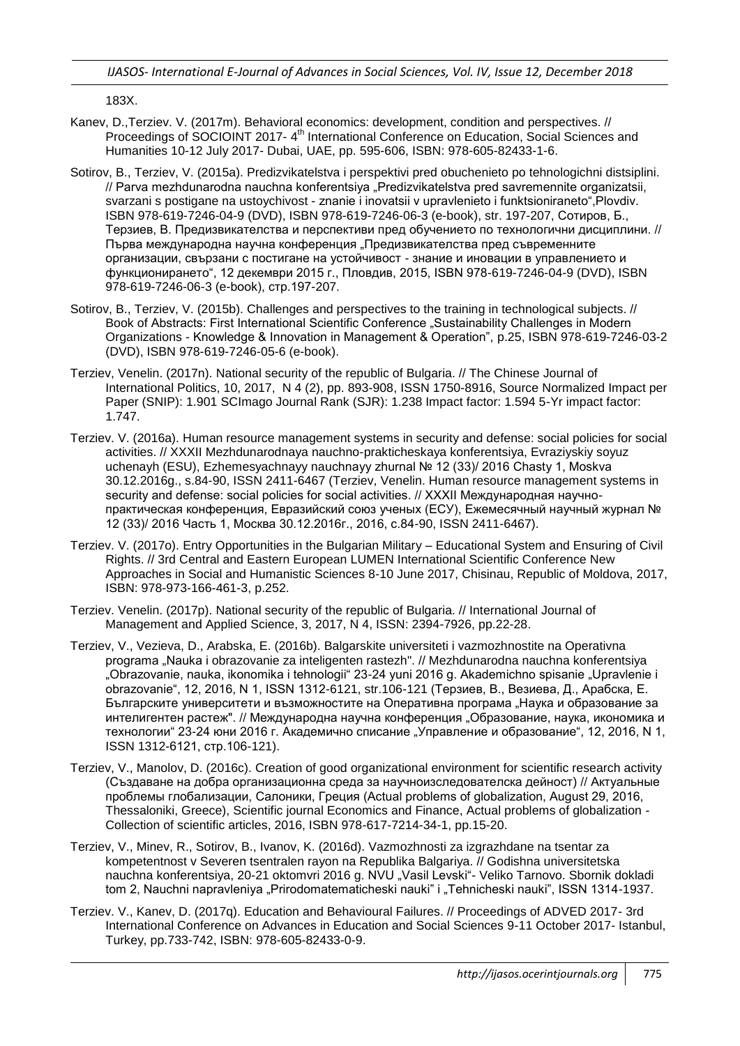183X.

- Kanev, D.,Terziev. V. (2017m). Behavioral economics: development, condition and perspectives. // Proceedings of SOCIOINT 2017- 4<sup>th</sup> International Conference on Education, Social Sciences and Humanities 10-12 July 2017- Dubai, UAE, pp. 595-606, ISBN: 978-605-82433-1-6.
- Sotirov, B., Terziev, V. (2015a). Predizvikatelstva i perspektivi pred obuchenieto po tehnologichni distsiplini. // Parva mezhdunarodna nauchna konferentsiya "Predizvikatelstva pred savremennite organizatsii, svarzani s postigane na ustoychivost - znanie i inovatsii v upravlenieto i funktsioniraneto",Plovdiv. ISBN 978-619-7246-04-9 (DVD), ISBN 978-619-7246-06-3 (e-book), str. 197-207, Сотиров, Б., Терзиев, В. Предизвикателства и перспективи пред обучението по технологични дисциплини. // Първа международна научна конференция "Предизвикателства пред съвременните организации, свързани с постигане на устойчивост - знание и иновации в управлението и функционирането", 12 декември 2015 г., Пловдив, 2015, ISBN 978-619-7246-04-9 (DVD), ISBN 978-619-7246-06-3 (e-book), стр.197-207.
- Sotirov, B., Terziev, V. (2015b). Challenges and perspectives to the training in technological subjects. // Book of Abstracts: First International Scientific Conference "Sustainability Challenges in Modern Organizations - Knowledge & Innovation in Management & Operation", p.25, ISBN 978-619-7246-03-2 (DVD), ISBN 978-619-7246-05-6 (e-book).
- Terziev, Venelin. (2017n). National security of the republic of Bulgaria. // The Chinese Journal of International Politics, 10, 2017, N 4 (2), pp. 893-908, ISSN 1750-8916, Source Normalized Impact per Paper (SNIP): 1.901 SCImago Journal Rank (SJR): 1.238 Impact factor: 1.594 5-Yr impact factor: 1.747.
- Terziev. V. (2016a). Human resource management systems in security and defense: social policies for social activities. // XXXII Mezhdunarodnaya nauchno-prakticheskaya konferentsiya, Evraziyskiy soyuz uchenayh (ESU), Ezhemesyachnayy nauchnayy zhurnal № 12 (33)/ 2016 Chasty 1, Moskva 30.12.2016g., s.84-90, ISSN 2411-6467 (Terziev, Venelin. Human resource management systems in security and defense: social policies for social activities. // XXXII Международная научнопрактическая конференция, Евразийский союз ученых (ЕСУ), Ежемесячный научный журнал № 12 (33)/ 2016 Часть 1, Москва 30.12.2016г., 2016, с.84-90, ISSN 2411-6467).
- Terziev. V. (2017o). Entry Opportunities in the Bulgarian Military Educational System and Ensuring of Civil Rights. // 3rd Central and Eastern European LUMEN International Scientific Conference New Approaches in Social and Humanistic Sciences 8-10 June 2017, Chisinau, Republic of Moldova, 2017, ISBN: 978-973-166-461-3, p.252.
- Terziev. Venelin. (2017p). National security of the republic of Bulgaria. // International Journal of Management and Applied Science, 3, 2017, N 4, ISSN: 2394-7926, pp.22-28.
- Terziev, V., Vezieva, D., Arabska, E. (2016b). Balgarskite universiteti i vazmozhnostite na Operativna programa "Nauka i obrazovanie za inteligenten rastezh". // Mezhdunarodna nauchna konferentsiya "Obrazovanie, nauka, ikonomika i tehnologii" 23-24 yuni 2016 g. Akademichno spisanie "Upravlenie i obrazovanie", 12, 2016, N 1, ISSN 1312-6121, str.106-121 (Терзиев, В., Везиева, Д., Арабска, Е. Българските университети и възможностите на Оперативна програма "Наука и образование за интелигентен растеж". // Международна научна конференция "Образование, наука, икономика и технологии" 23-24 юни 2016 г. Академично списание "Управление и образование", 12, 2016, N 1, ISSN 1312-6121, стр.106-121).
- Terziev, V., Manolov, D. (2016c). Creation of good organizational environment for scientific research activity (Създаване на добра организационна среда за научноизследователска дейност) // Актуальные проблемы глобализации, Салоники, Греция (Actual problems of globalization, August 29, 2016, Thessaloniki, Greece), Scientific journal Economics and Finance, Actual problems of globalization - Collection of scientific articles, 2016, ISBN 978-617-7214-34-1, pp.15-20.
- Terziev, V., Minev, R., Sotirov, B., Ivanov, K. (2016d). Vazmozhnosti za izgrazhdane na tsentar za kompetentnost v Severen tsentralen rayon na Republika Balgariya. // Godishna universitetska nauchna konferentsiya, 20-21 oktomvri 2016 g. NVU "Vasil Levski"- Veliko Tarnovo. Sbornik dokladi tom 2, Nauchni napravleniya "Prirodomatematicheski nauki" i "Tehnicheski nauki", ISSN 1314-1937.
- Terziev. V., Kanev, D. (2017q). Education and Behavioural Failures. // Proceedings of ADVED 2017- 3rd International Conference on Advances in Education and Social Sciences 9-11 October 2017- Istanbul, Turkey, pp.733-742, ISBN: 978-605-82433-0-9.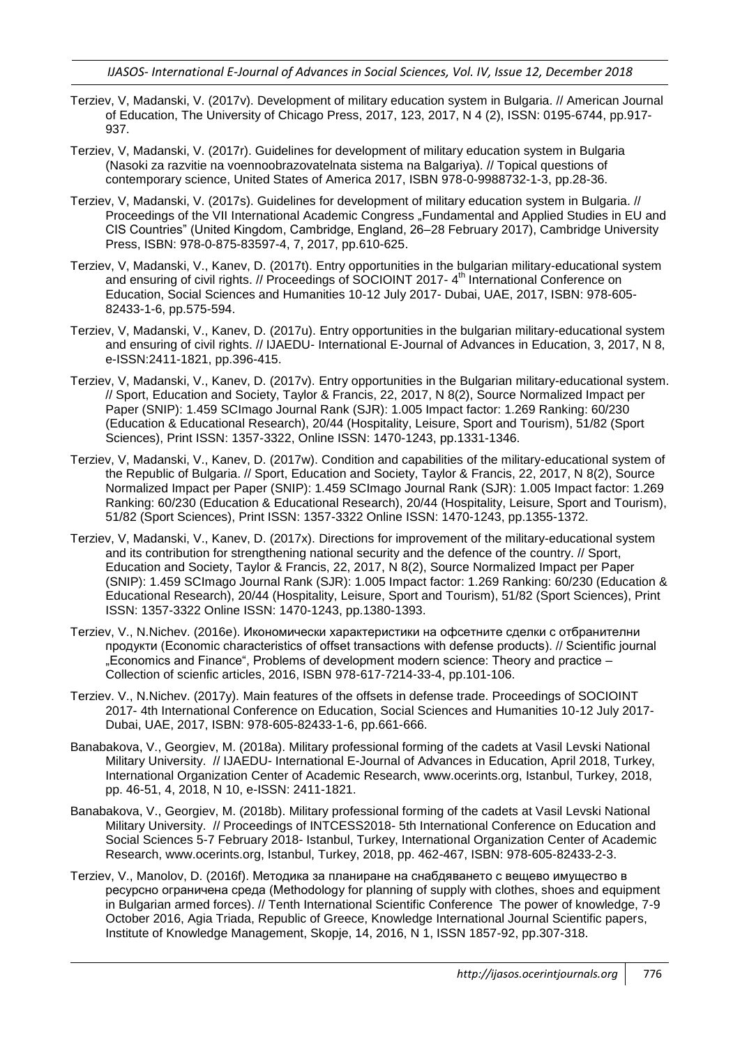- Terziev, V, Madanski, V. (2017v). Development of military education system in Bulgaria. // American Journal of Education, The University of Chicago Press, 2017, 123, 2017, N 4 (2), ISSN: 0195-6744, pp.917- 937.
- Terziev, V, Madanski, V. (2017r). Guidelines for development of military education system in Bulgaria (Nasoki za razvitie na voennoobrazovatelnata sistema na Balgariya). // Topical questions of contemporary science, United States of America 2017, ISBN 978-0-9988732-1-3, pp.28-36.
- Terziev, V, Madanski, V. (2017s). Guidelines for development of military education system in Bulgaria. // Proceedings of the VII International Academic Congress "Fundamental and Applied Studies in EU and CIS Countries" (United Kingdom, Cambridge, England, 26–28 February 2017), Cambridge University Press, ISBN: 978-0-875-83597-4, 7, 2017, pp.610-625.
- Terziev, V, Madanski, V., Kanev, D. (2017t). Entry opportunities in the bulgarian military-educational system and ensuring of civil rights. // Proceedings of SOCIOINT 2017-4<sup>th</sup> International Conference on Education, Social Sciences and Humanities 10-12 July 2017- Dubai, UAE, 2017, ISBN: 978-605- 82433-1-6, pp.575-594.
- Terziev, V, Madanski, V., Kanev, D. (2017u). Entry opportunities in the bulgarian military-educational system and ensuring of civil rights. // IJAEDU- International E-Journal of Advances in Education, 3, 2017, N 8, e-ISSN:2411-1821, pp.396-415.
- Terziev, V, Madanski, V., Kanev, D. (2017v). Entry opportunities in the Bulgarian military-educational system. // Sport, Education and Society, Taylor & Francis, 22, 2017, N 8(2), Source Normalized Impact per Paper (SNIP): 1.459 SCImago Journal Rank (SJR): 1.005 Impact factor: 1.269 Ranking: 60/230 (Education & Educational Research), 20/44 (Hospitality, Leisure, Sport and Tourism), 51/82 (Sport Sciences), Print ISSN: 1357-3322, Online ISSN: 1470-1243, pp.1331-1346.
- Terziev, V, Madanski, V., Kanev, D. (2017w). Condition and capabilities of the military-educational system of the Republic of Bulgaria. // Sport, Education and Society, Taylor & Francis, 22, 2017, N 8(2), Source Normalized Impact per Paper (SNIP): 1.459 SCImago Journal Rank (SJR): 1.005 Impact factor: 1.269 Ranking: 60/230 (Education & Educational Research), 20/44 (Hospitality, Leisure, Sport and Tourism), 51/82 (Sport Sciences), Print ISSN: 1357-3322 Online ISSN: 1470-1243, pp.1355-1372.
- Terziev, V, Madanski, V., Kanev, D. (2017x). Directions for improvement of the military-educational system and its contribution for strengthening national security and the defence of the country. // Sport, Education and Society, Taylor & Francis, 22, 2017, N 8(2), Source Normalized Impact per Paper (SNIP): 1.459 SCImago Journal Rank (SJR): 1.005 Impact factor: 1.269 Ranking: 60/230 (Education & Educational Research), 20/44 (Hospitality, Leisure, Sport and Tourism), 51/82 (Sport Sciences), Print ISSN: 1357-3322 Online ISSN: 1470-1243, pp.1380-1393.
- Terziev, V., N.Nichev. (2016e). Икономически характеристики на офсетните сделки с отбранителни продукти (Economic characteristics of offset transactions with defense products). // Scientific journal "Economics and Finance", Problems of development modern science: Theory and practice – Collection of scienfic articles, 2016, ISBN 978-617-7214-33-4, pp.101-106.
- Terziev. V., N.Nichev. (2017y). Main features of the offsets in defense trade. Proceedings of SOCIOINT 2017- 4th International Conference on Education, Social Sciences and Humanities 10-12 July 2017- Dubai, UAE, 2017, ISBN: 978-605-82433-1-6, pp.661-666.
- Banabakova, V., Georgiev, M. (2018a). Military professional forming of the cadets at Vasil Levski National Military University. // IJAEDU- International E-Journal of Advances in Education, April 2018, Turkey, International Organization Center of Academic Research, www.ocerints.org, Istanbul, Turkey, 2018, pp. 46-51, 4, 2018, N 10, e-ISSN: 2411-1821.
- Banabakova, V., Georgiev, M. (2018b). Military professional forming of the cadets at Vasil Levski National Military University. // Proceedings of INTCESS2018- 5th International Conference on Education and Social Sciences 5-7 February 2018- Istanbul, Turkey, International Organization Center of Academic Research, www.ocerints.org, Istanbul, Turkey, 2018, pp. 462-467, ISBN: 978-605-82433-2-3.
- Terziev, V., Manolov, D. (2016f). Методика за планиране на снабдяването с вещево имущество в ресурсно ограничена среда (Methodology for planning of supply with clothes, shoes and equipment in Bulgarian armed forces). // Tenth International Scientific Conference The power of knowledge, 7-9 October 2016, Agia Triada, Republic of Greece, Knowledge International Journal Scientific papers, Institute of Knowledge Management, Skopje, 14, 2016, N 1, ISSN 1857-92, pp.307-318.